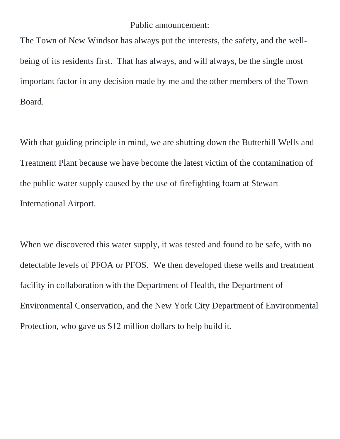## Public announcement:

The Town of New Windsor has always put the interests, the safety, and the wellbeing of its residents first. That has always, and will always, be the single most important factor in any decision made by me and the other members of the Town Board.

With that guiding principle in mind, we are shutting down the Butterhill Wells and Treatment Plant because we have become the latest victim of the contamination of the public water supply caused by the use of firefighting foam at Stewart International Airport.

When we discovered this water supply, it was tested and found to be safe, with no detectable levels of PFOA or PFOS. We then developed these wells and treatment facility in collaboration with the Department of Health, the Department of Environmental Conservation, and the New York City Department of Environmental Protection, who gave us \$12 million dollars to help build it.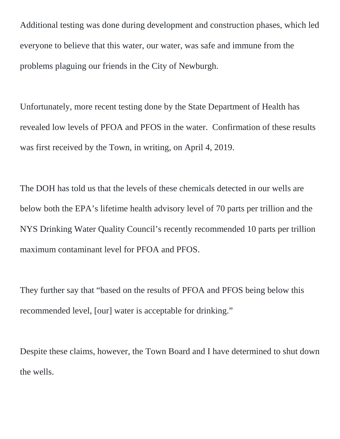Additional testing was done during development and construction phases, which led everyone to believe that this water, our water, was safe and immune from the problems plaguing our friends in the City of Newburgh.

Unfortunately, more recent testing done by the State Department of Health has revealed low levels of PFOA and PFOS in the water. Confirmation of these results was first received by the Town, in writing, on April 4, 2019.

The DOH has told us that the levels of these chemicals detected in our wells are below both the EPA's lifetime health advisory level of 70 parts per trillion and the NYS Drinking Water Quality Council's recently recommended 10 parts per trillion maximum contaminant level for PFOA and PFOS.

They further say that "based on the results of PFOA and PFOS being below this recommended level, [our] water is acceptable for drinking."

Despite these claims, however, the Town Board and I have determined to shut down the wells.